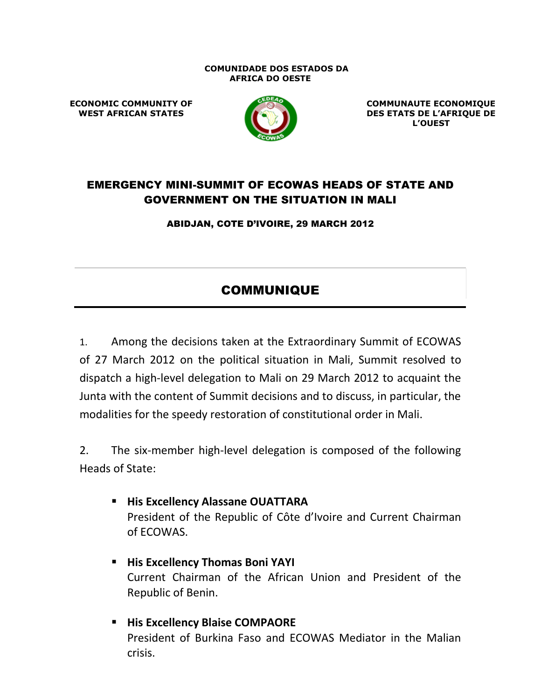#### **COMUNIDADE DOS ESTADOS DA AFRICA DO OESTE**

**ECONOMIC COMMUNITY OF WEST AFRICAN STATES**



**COMMUNAUTE ECONOMIQUE DES ETATS DE L'AFRIQUE DE L'OUEST**

# EMERGENCY MINI-SUMMIT OF ECOWAS HEADS OF STATE AND GOVERNMENT ON THE SITUATION IN MALI

ABIDJAN, COTE D'IVOIRE, 29 MARCH 2012

# COMMUNIQUE

1. Among the decisions taken at the Extraordinary Summit of ECOWAS of 27 March 2012 on the political situation in Mali, Summit resolved to dispatch a high-level delegation to Mali on 29 March 2012 to acquaint the Junta with the content of Summit decisions and to discuss, in particular, the modalities for the speedy restoration of constitutional order in Mali.

2. The six-member high-level delegation is composed of the following Heads of State:

- **His Excellency Alassane OUATTARA** President of the Republic of Côte d'Ivoire and Current Chairman of ECOWAS.
- **His Excellency Thomas Boni YAYI** Current Chairman of the African Union and President of the Republic of Benin.
- **His Excellency Blaise COMPAORE** President of Burkina Faso and ECOWAS Mediator in the Malian crisis.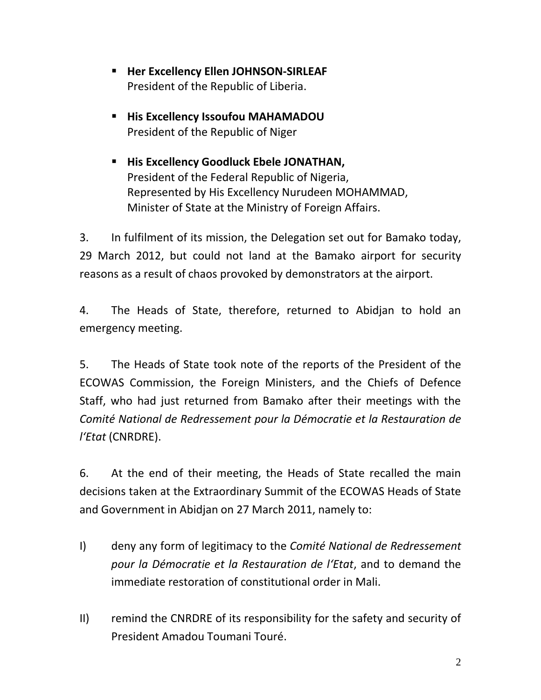- **Her Excellency Ellen JOHNSON-SIRLEAF** President of the Republic of Liberia.
- **His Excellency Issoufou MAHAMADOU** President of the Republic of Niger
- **His Excellency Goodluck Ebele JONATHAN,** President of the Federal Republic of Nigeria, Represented by His Excellency Nurudeen MOHAMMAD, Minister of State at the Ministry of Foreign Affairs.

3. In fulfilment of its mission, the Delegation set out for Bamako today, 29 March 2012, but could not land at the Bamako airport for security reasons as a result of chaos provoked by demonstrators at the airport.

4. The Heads of State, therefore, returned to Abidjan to hold an emergency meeting.

5. The Heads of State took note of the reports of the President of the ECOWAS Commission, the Foreign Ministers, and the Chiefs of Defence Staff, who had just returned from Bamako after their meetings with the *Comité National de Redressement pour la Démocratie et la Restauration de l'Etat* (CNRDRE).

6. At the end of their meeting, the Heads of State recalled the main decisions taken at the Extraordinary Summit of the ECOWAS Heads of State and Government in Abidjan on 27 March 2011, namely to:

- I) deny any form of legitimacy to the *Comité National de Redressement pour la Démocratie et la Restauration de l'Etat*, and to demand the immediate restoration of constitutional order in Mali.
- II) remind the CNRDRE of its responsibility for the safety and security of President Amadou Toumani Touré.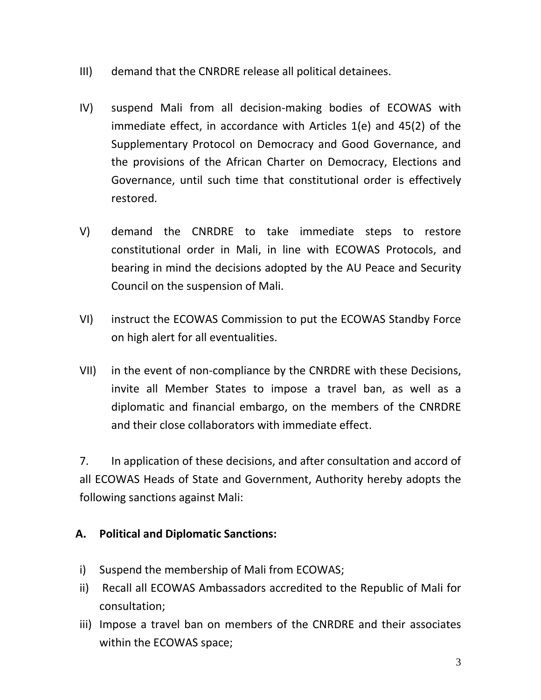- III) demand that the CNRDRE release all political detainees.
- IV) suspend Mali from all decision-making bodies of ECOWAS with immediate effect, in accordance with Articles 1(e) and 45(2) of the Supplementary Protocol on Democracy and Good Governance, and the provisions of the African Charter on Democracy, Elections and Governance, until such time that constitutional order is effectively restored.
- V) demand the CNRDRE to take immediate steps to restore constitutional order in Mali, in line with ECOWAS Protocols, and bearing in mind the decisions adopted by the AU Peace and Security Council on the suspension of Mali.
- VI) instruct the ECOWAS Commission to put the ECOWAS Standby Force on high alert for all eventualities.
- VII) in the event of non-compliance by the CNRDRE with these Decisions, invite all Member States to impose a travel ban, as well as a diplomatic and financial embargo, on the members of the CNRDRE and their close collaborators with immediate effect.

7. In application of these decisions, and after consultation and accord of all ECOWAS Heads of State and Government, Authority hereby adopts the following sanctions against Mali:

# **A. Political and Diplomatic Sanctions:**

- i) Suspend the membership of Mali from ECOWAS;
- ii) Recall all ECOWAS Ambassadors accredited to the Republic of Mali for consultation;
- iii) Impose a travel ban on members of the CNRDRE and their associates within the ECOWAS space;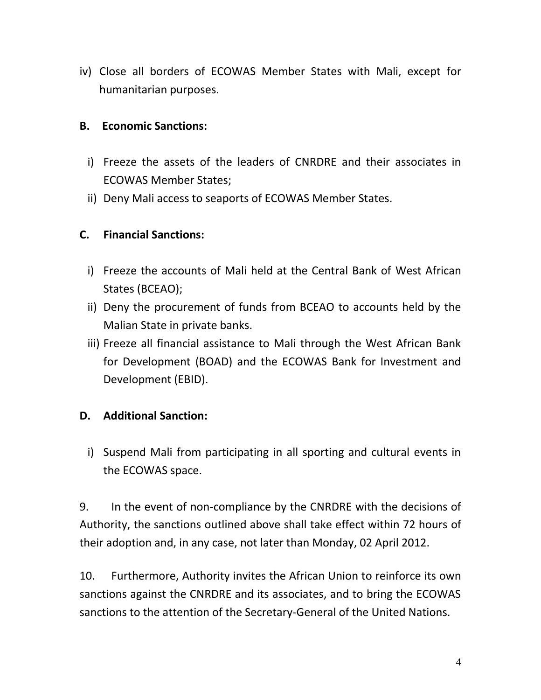iv) Close all borders of ECOWAS Member States with Mali, except for humanitarian purposes.

#### **B. Economic Sanctions:**

- i) Freeze the assets of the leaders of CNRDRE and their associates in ECOWAS Member States;
- ii) Deny Mali access to seaports of ECOWAS Member States.

#### **C. Financial Sanctions:**

- i) Freeze the accounts of Mali held at the Central Bank of West African States (BCEAO);
- ii) Deny the procurement of funds from BCEAO to accounts held by the Malian State in private banks.
- iii) Freeze all financial assistance to Mali through the West African Bank for Development (BOAD) and the ECOWAS Bank for Investment and Development (EBID).

# **D. Additional Sanction:**

i) Suspend Mali from participating in all sporting and cultural events in the ECOWAS space.

9. In the event of non-compliance by the CNRDRE with the decisions of Authority, the sanctions outlined above shall take effect within 72 hours of their adoption and, in any case, not later than Monday, 02 April 2012.

10. Furthermore, Authority invites the African Union to reinforce its own sanctions against the CNRDRE and its associates, and to bring the ECOWAS sanctions to the attention of the Secretary-General of the United Nations.